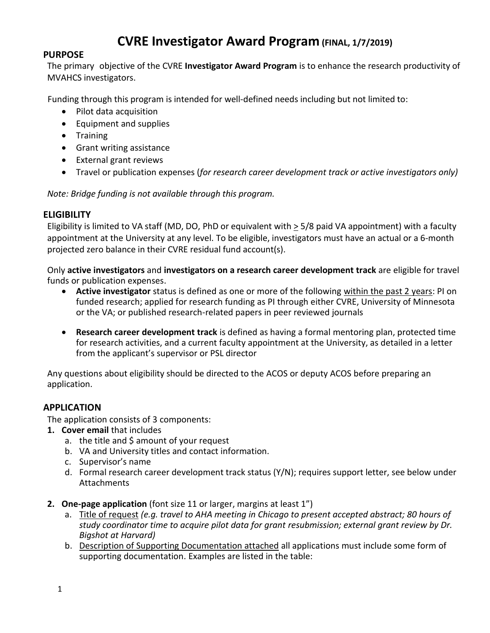# **CVRE Investigator Award Program (FINAL, 1/7/2019)**

# **PURPOSE**

The primary objective of the CVRE **Investigator Award Program** is to enhance the research productivity of MVAHCS investigators.

Funding through this program is intended for well-defined needs including but not limited to:

- Pilot data acquisition
- Equipment and supplies
- Training
- Grant writing assistance
- External grant reviews
- Travel or publication expenses (*for research career development track or active investigators only)*

*Note: Bridge funding is not available through this program.* 

#### **ELIGIBILITY**

Eligibility is limited to VA staff (MD, DO, PhD or equivalent with > 5/8 paid VA appointment) with a faculty appointment at the University at any level. To be eligible, investigators must have an actual or a 6-month projected zero balance in their CVRE residual fund account(s).

Only **active investigators** and **investigators on a research career development track** are eligible for travel funds or publication expenses.

- **Active investigator** status is defined as one or more of the following within the past 2 years: PI on funded research; applied for research funding as PI through either CVRE, University of Minnesota or the VA; or published research-related papers in peer reviewed journals
- **Research career development track** is defined as having a formal mentoring plan, protected time for research activities, and a current faculty appointment at the University, as detailed in a letter from the applicant's supervisor or PSL director

Any questions about eligibility should be directed to the ACOS or deputy ACOS before preparing an application.

# **APPLICATION**

The application consists of 3 components:

- **1. Cover email** that includes
	- a. the title and \$ amount of your request
	- b. VA and University titles and contact information.
	- c. Supervisor's name
	- d. Formal research career development track status (Y/N); requires support letter, see below under Attachments
- **2. One-page application** (font size 11 or larger, margins at least 1")
	- a. Title of request *(e.g. travel to AHA meeting in Chicago to present accepted abstract; 80 hours of study coordinator time to acquire pilot data for grant resubmission; external grant review by Dr. Bigshot at Harvard)*
	- b. Description of Supporting Documentation attached all applications must include some form of supporting documentation. Examples are listed in the table: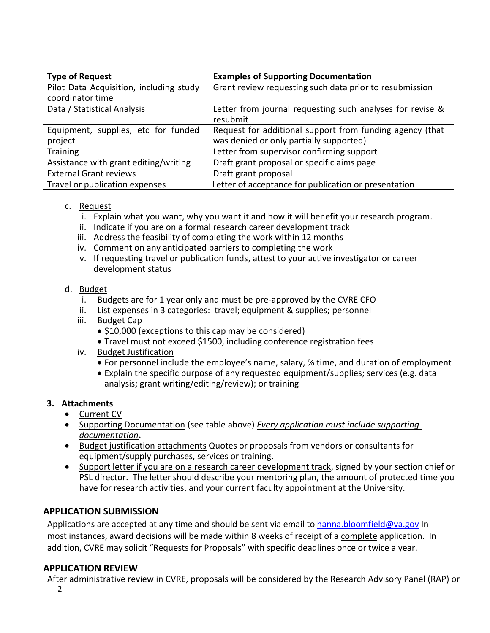| <b>Type of Request</b>                         | <b>Examples of Supporting Documentation</b>                                                         |
|------------------------------------------------|-----------------------------------------------------------------------------------------------------|
| Pilot Data Acquisition, including study        | Grant review requesting such data prior to resubmission                                             |
| coordinator time                               |                                                                                                     |
| Data / Statistical Analysis                    | Letter from journal requesting such analyses for revise &<br>resubmit                               |
| Equipment, supplies, etc for funded<br>project | Request for additional support from funding agency (that<br>was denied or only partially supported) |
| <b>Training</b>                                | Letter from supervisor confirming support                                                           |
| Assistance with grant editing/writing          | Draft grant proposal or specific aims page                                                          |
| <b>External Grant reviews</b>                  | Draft grant proposal                                                                                |
| Travel or publication expenses                 | Letter of acceptance for publication or presentation                                                |

#### c. Request

- i. Explain what you want, why you want it and how it will benefit your research program.
- ii. Indicate if you are on a formal research career development track
- iii. Address the feasibility of completing the work within 12 months
- iv. Comment on any anticipated barriers to completing the work
- v. If requesting travel or publication funds, attest to your active investigator or career development status

#### d. Budget

- i. Budgets are for 1 year only and must be pre-approved by the CVRE CFO
- ii. List expenses in 3 categories: travel; equipment & supplies; personnel
- iii. Budget Cap
	- \$10,000 (exceptions to this cap may be considered)
	- Travel must not exceed \$1500, including conference registration fees
- iv. Budget Justification
	- For personnel include the employee's name, salary, % time, and duration of employment
	- Explain the specific purpose of any requested equipment/supplies; services (e.g. data analysis; grant writing/editing/review); or training

# **3. Attachments**

- Current CV
- Supporting Documentation (see table above) *Every application must include supporting documentation***.**
- Budget justification attachments Quotes or proposals from vendors or consultants for equipment/supply purchases, services or training.
- Support letter if you are on a research career development track, signed by your section chief or PSL director. The letter should describe your mentoring plan, the amount of protected time you have for research activities, and your current faculty appointment at the University.

# **APPLICATION SUBMISSION**

Applications are accepted at any time and should be sent via email to [hanna.bloomfield@va.gov](mailto:hanna.bloomfield@va.gov) In most instances, award decisions will be made within 8 weeks of receipt of a complete application. In addition, CVRE may solicit "Requests for Proposals" with specific deadlines once or twice a year.

# **APPLICATION REVIEW**

2 After administrative review in CVRE, proposals will be considered by the Research Advisory Panel (RAP) or